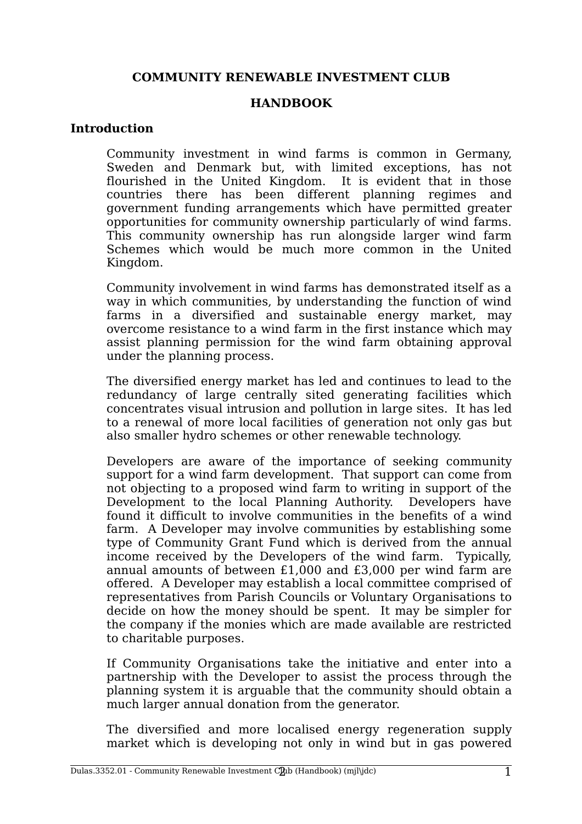## **COMMUNITY RENEWABLE INVESTMENT CLUB**

## **HANDBOOK**

## **Introduction**

Community investment in wind farms is common in Germany, Sweden and Denmark but, with limited exceptions, has not flourished in the United Kingdom. It is evident that in those countries there has been different planning regimes and government funding arrangements which have permitted greater opportunities for community ownership particularly of wind farms. This community ownership has run alongside larger wind farm Schemes which would be much more common in the United Kingdom.

Community involvement in wind farms has demonstrated itself as a way in which communities, by understanding the function of wind farms in a diversified and sustainable energy market, may overcome resistance to a wind farm in the first instance which may assist planning permission for the wind farm obtaining approval under the planning process.

The diversified energy market has led and continues to lead to the redundancy of large centrally sited generating facilities which concentrates visual intrusion and pollution in large sites. It has led to a renewal of more local facilities of generation not only gas but also smaller hydro schemes or other renewable technology.

Developers are aware of the importance of seeking community support for a wind farm development. That support can come from not objecting to a proposed wind farm to writing in support of the Development to the local Planning Authority. Developers have found it difficult to involve communities in the benefits of a wind farm. A Developer may involve communities by establishing some type of Community Grant Fund which is derived from the annual income received by the Developers of the wind farm. Typically, annual amounts of between £1,000 and £3,000 per wind farm are offered. A Developer may establish a local committee comprised of representatives from Parish Councils or Voluntary Organisations to decide on how the money should be spent. It may be simpler for the company if the monies which are made available are restricted to charitable purposes.

If Community Organisations take the initiative and enter into a partnership with the Developer to assist the process through the planning system it is arguable that the community should obtain a much larger annual donation from the generator.

The diversified and more localised energy regeneration supply market which is developing not only in wind but in gas powered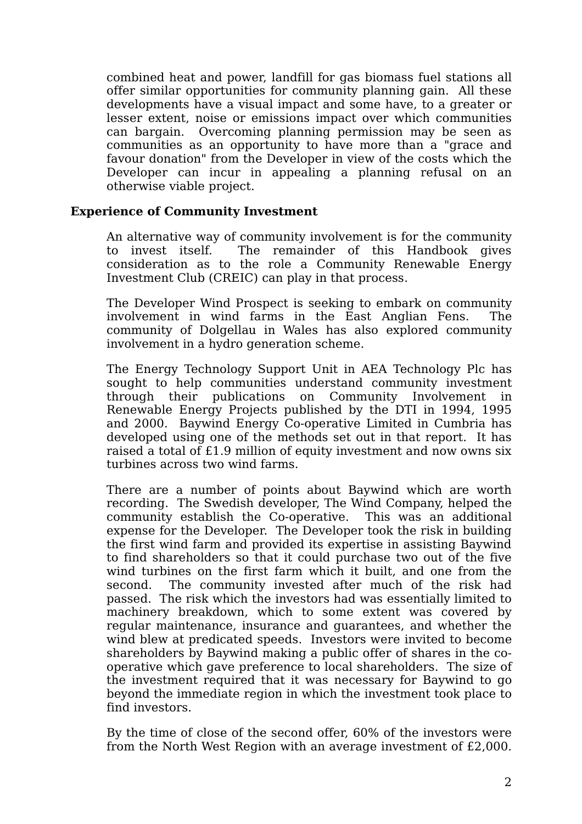combined heat and power, landfill for gas biomass fuel stations all offer similar opportunities for community planning gain. All these developments have a visual impact and some have, to a greater or lesser extent, noise or emissions impact over which communities can bargain. Overcoming planning permission may be seen as communities as an opportunity to have more than a "grace and favour donation" from the Developer in view of the costs which the Developer can incur in appealing a planning refusal on an otherwise viable project.

### **Experience of Community Investment**

An alternative way of community involvement is for the community to invest itself. The remainder of this Handbook gives consideration as to the role a Community Renewable Energy Investment Club (CREIC) can play in that process.

The Developer Wind Prospect is seeking to embark on community involvement in wind farms in the East Anglian Fens. The community of Dolgellau in Wales has also explored community involvement in a hydro generation scheme.

The Energy Technology Support Unit in AEA Technology Plc has sought to help communities understand community investment through their publications on Community Involvement in Renewable Energy Projects published by the DTI in 1994, 1995 and 2000. Baywind Energy Co-operative Limited in Cumbria has developed using one of the methods set out in that report. It has raised a total of £1.9 million of equity investment and now owns six turbines across two wind farms.

There are a number of points about Baywind which are worth recording. The Swedish developer, The Wind Company, helped the community establish the Co-operative. This was an additional expense for the Developer. The Developer took the risk in building the first wind farm and provided its expertise in assisting Baywind to find shareholders so that it could purchase two out of the five wind turbines on the first farm which it built, and one from the second. The community invested after much of the risk had passed. The risk which the investors had was essentially limited to machinery breakdown, which to some extent was covered by regular maintenance, insurance and guarantees, and whether the wind blew at predicated speeds. Investors were invited to become shareholders by Baywind making a public offer of shares in the cooperative which gave preference to local shareholders. The size of the investment required that it was necessary for Baywind to go beyond the immediate region in which the investment took place to find investors.

By the time of close of the second offer, 60% of the investors were from the North West Region with an average investment of £2,000.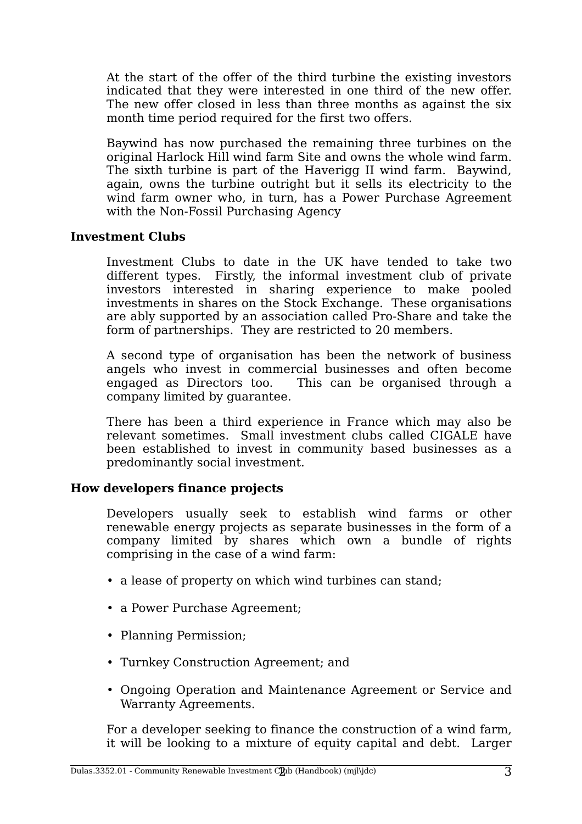At the start of the offer of the third turbine the existing investors indicated that they were interested in one third of the new offer. The new offer closed in less than three months as against the six month time period required for the first two offers.

Baywind has now purchased the remaining three turbines on the original Harlock Hill wind farm Site and owns the whole wind farm. The sixth turbine is part of the Haverigg II wind farm. Baywind, again, owns the turbine outright but it sells its electricity to the wind farm owner who, in turn, has a Power Purchase Agreement with the Non-Fossil Purchasing Agency

# **Investment Clubs**

Investment Clubs to date in the UK have tended to take two different types. Firstly, the informal investment club of private investors interested in sharing experience to make pooled investments in shares on the Stock Exchange. These organisations are ably supported by an association called Pro-Share and take the form of partnerships. They are restricted to 20 members.

A second type of organisation has been the network of business angels who invest in commercial businesses and often become engaged as Directors too. This can be organised through a company limited by guarantee.

There has been a third experience in France which may also be relevant sometimes. Small investment clubs called CIGALE have been established to invest in community based businesses as a predominantly social investment.

# **How developers finance projects**

Developers usually seek to establish wind farms or other renewable energy projects as separate businesses in the form of a company limited by shares which own a bundle of rights comprising in the case of a wind farm:

- a lease of property on which wind turbines can stand;
- a Power Purchase Agreement;
- Planning Permission;
- Turnkey Construction Agreement; and
- Ongoing Operation and Maintenance Agreement or Service and Warranty Agreements.

For a developer seeking to finance the construction of a wind farm, it will be looking to a mixture of equity capital and debt. Larger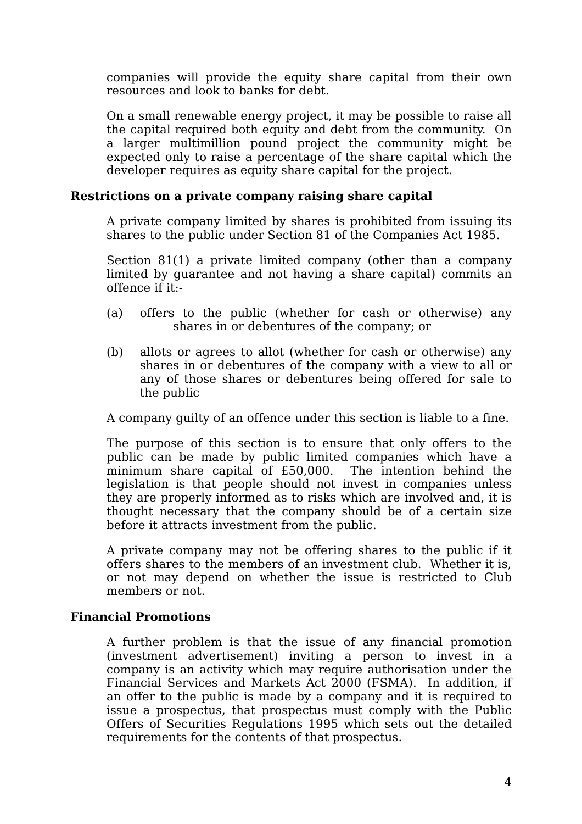companies will provide the equity share capital from their own resources and look to banks for debt.

On a small renewable energy project, it may be possible to raise all the capital required both equity and debt from the community. On a larger multimillion pound project the community might be expected only to raise a percentage of the share capital which the developer requires as equity share capital for the project.

## **Restrictions on a private company raising share capital**

A private company limited by shares is prohibited from issuing its shares to the public under Section 81 of the Companies Act 1985.

Section 81(1) a private limited company (other than a company limited by guarantee and not having a share capital) commits an offence if it:-

- (a) offers to the public (whether for cash or otherwise) any shares in or debentures of the company; or
- (b) allots or agrees to allot (whether for cash or otherwise) any shares in or debentures of the company with a view to all or any of those shares or debentures being offered for sale to the public

A company guilty of an offence under this section is liable to a fine.

The purpose of this section is to ensure that only offers to the public can be made by public limited companies which have a minimum share capital of £50,000. The intention behind the legislation is that people should not invest in companies unless they are properly informed as to risks which are involved and, it is thought necessary that the company should be of a certain size before it attracts investment from the public.

A private company may not be offering shares to the public if it offers shares to the members of an investment club. Whether it is, or not may depend on whether the issue is restricted to Club members or not.

# **Financial Promotions**

A further problem is that the issue of any financial promotion (investment advertisement) inviting a person to invest in a company is an activity which may require authorisation under the Financial Services and Markets Act 2000 (FSMA). In addition, if an offer to the public is made by a company and it is required to issue a prospectus, that prospectus must comply with the Public Offers of Securities Regulations 1995 which sets out the detailed requirements for the contents of that prospectus.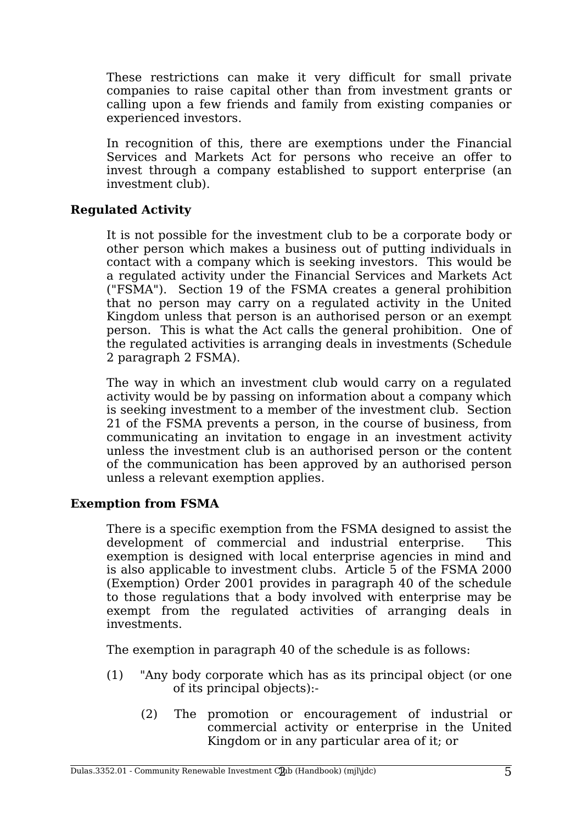These restrictions can make it very difficult for small private companies to raise capital other than from investment grants or calling upon a few friends and family from existing companies or experienced investors.

In recognition of this, there are exemptions under the Financial Services and Markets Act for persons who receive an offer to invest through a company established to support enterprise (an investment club).

# **Regulated Activity**

It is not possible for the investment club to be a corporate body or other person which makes a business out of putting individuals in contact with a company which is seeking investors. This would be a regulated activity under the Financial Services and Markets Act ("FSMA"). Section 19 of the FSMA creates a general prohibition that no person may carry on a regulated activity in the United Kingdom unless that person is an authorised person or an exempt person. This is what the Act calls the general prohibition. One of the regulated activities is arranging deals in investments (Schedule 2 paragraph 2 FSMA).

The way in which an investment club would carry on a regulated activity would be by passing on information about a company which is seeking investment to a member of the investment club. Section 21 of the FSMA prevents a person, in the course of business, from communicating an invitation to engage in an investment activity unless the investment club is an authorised person or the content of the communication has been approved by an authorised person unless a relevant exemption applies.

# **Exemption from FSMA**

There is a specific exemption from the FSMA designed to assist the development of commercial and industrial enterprise. This exemption is designed with local enterprise agencies in mind and is also applicable to investment clubs. Article 5 of the FSMA 2000 (Exemption) Order 2001 provides in paragraph 40 of the schedule to those regulations that a body involved with enterprise may be exempt from the regulated activities of arranging deals in investments.

The exemption in paragraph 40 of the schedule is as follows:

- (1) "Any body corporate which has as its principal object (or one of its principal objects):-
	- (2) The promotion or encouragement of industrial or commercial activity or enterprise in the United Kingdom or in any particular area of it; or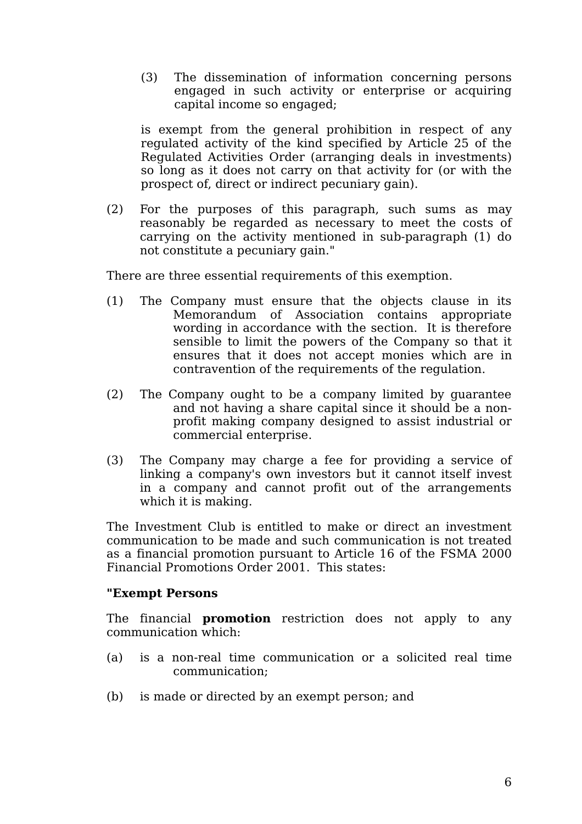(3) The dissemination of information concerning persons engaged in such activity or enterprise or acquiring capital income so engaged;

is exempt from the general prohibition in respect of any regulated activity of the kind specified by Article 25 of the Regulated Activities Order (arranging deals in investments) so long as it does not carry on that activity for (or with the prospect of, direct or indirect pecuniary gain).

(2) For the purposes of this paragraph, such sums as may reasonably be regarded as necessary to meet the costs of carrying on the activity mentioned in sub-paragraph (1) do not constitute a pecuniary gain."

There are three essential requirements of this exemption.

- (1) The Company must ensure that the objects clause in its Memorandum of Association contains appropriate wording in accordance with the section. It is therefore sensible to limit the powers of the Company so that it ensures that it does not accept monies which are in contravention of the requirements of the regulation.
- (2) The Company ought to be a company limited by guarantee and not having a share capital since it should be a nonprofit making company designed to assist industrial or commercial enterprise.
- (3) The Company may charge a fee for providing a service of linking a company's own investors but it cannot itself invest in a company and cannot profit out of the arrangements which it is making.

The Investment Club is entitled to make or direct an investment communication to be made and such communication is not treated as a financial promotion pursuant to Article 16 of the FSMA 2000 Financial Promotions Order 2001. This states:

### **"Exempt Persons**

The financial **promotion** restriction does not apply to any communication which:

- (a) is a non-real time communication or a solicited real time communication;
- (b) is made or directed by an exempt person; and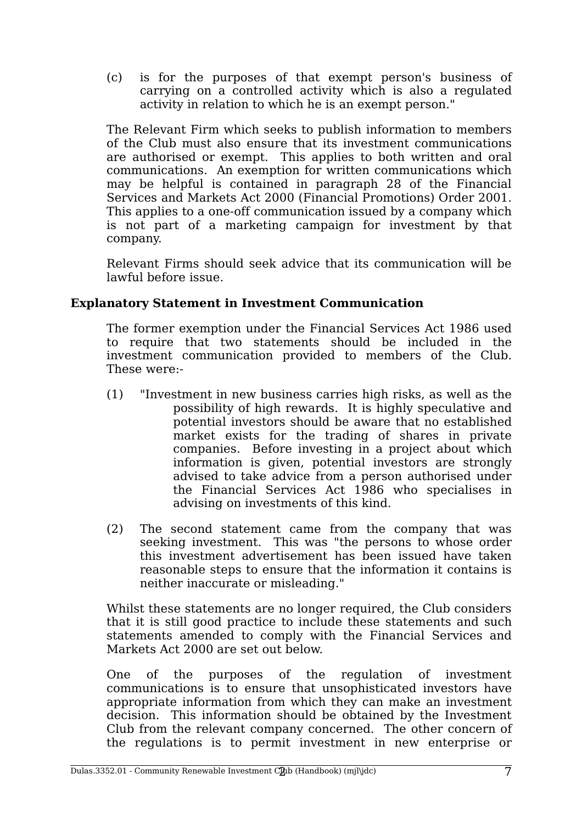(c) is for the purposes of that exempt person's business of carrying on a controlled activity which is also a regulated activity in relation to which he is an exempt person."

The Relevant Firm which seeks to publish information to members of the Club must also ensure that its investment communications are authorised or exempt. This applies to both written and oral communications. An exemption for written communications which may be helpful is contained in paragraph 28 of the Financial Services and Markets Act 2000 (Financial Promotions) Order 2001. This applies to a one-off communication issued by a company which is not part of a marketing campaign for investment by that company.

Relevant Firms should seek advice that its communication will be lawful before issue.

# **Explanatory Statement in Investment Communication**

The former exemption under the Financial Services Act 1986 used to require that two statements should be included in the investment communication provided to members of the Club. These were:-

- (1) "Investment in new business carries high risks, as well as the possibility of high rewards. It is highly speculative and potential investors should be aware that no established market exists for the trading of shares in private companies. Before investing in a project about which information is given, potential investors are strongly advised to take advice from a person authorised under the Financial Services Act 1986 who specialises in advising on investments of this kind.
- (2) The second statement came from the company that was seeking investment. This was "the persons to whose order this investment advertisement has been issued have taken reasonable steps to ensure that the information it contains is neither inaccurate or misleading."

Whilst these statements are no longer required, the Club considers that it is still good practice to include these statements and such statements amended to comply with the Financial Services and Markets Act 2000 are set out below.

One of the purposes of the regulation of investment communications is to ensure that unsophisticated investors have appropriate information from which they can make an investment decision. This information should be obtained by the Investment Club from the relevant company concerned. The other concern of the regulations is to permit investment in new enterprise or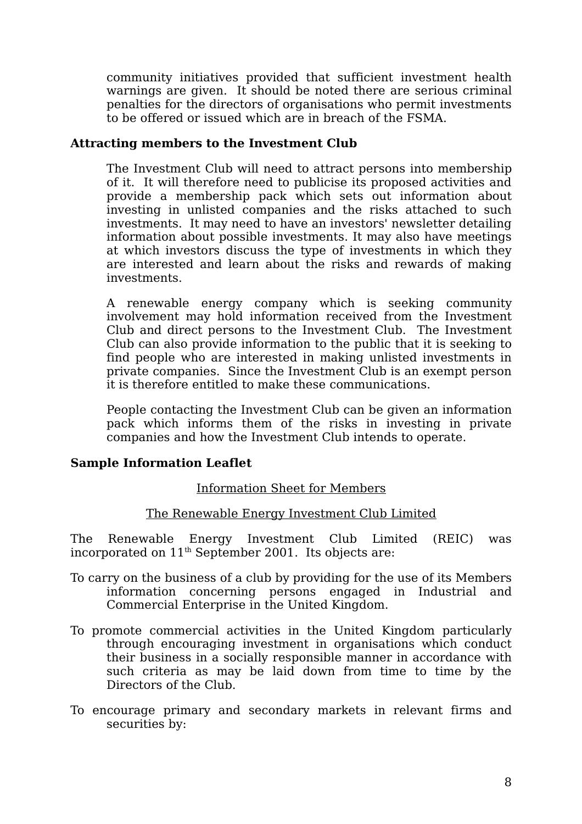community initiatives provided that sufficient investment health warnings are given. It should be noted there are serious criminal penalties for the directors of organisations who permit investments to be offered or issued which are in breach of the FSMA.

## **Attracting members to the Investment Club**

The Investment Club will need to attract persons into membership of it. It will therefore need to publicise its proposed activities and provide a membership pack which sets out information about investing in unlisted companies and the risks attached to such investments. It may need to have an investors' newsletter detailing information about possible investments. It may also have meetings at which investors discuss the type of investments in which they are interested and learn about the risks and rewards of making investments.

A renewable energy company which is seeking community involvement may hold information received from the Investment Club and direct persons to the Investment Club. The Investment Club can also provide information to the public that it is seeking to find people who are interested in making unlisted investments in private companies. Since the Investment Club is an exempt person it is therefore entitled to make these communications.

People contacting the Investment Club can be given an information pack which informs them of the risks in investing in private companies and how the Investment Club intends to operate.

# **Sample Information Leaflet**

# Information Sheet for Members

# The Renewable Energy Investment Club Limited

The Renewable Energy Investment Club Limited (REIC) was incorporated on  $11<sup>th</sup>$  September 2001. Its objects are:

- To carry on the business of a club by providing for the use of its Members information concerning persons engaged in Industrial and Commercial Enterprise in the United Kingdom.
- To promote commercial activities in the United Kingdom particularly through encouraging investment in organisations which conduct their business in a socially responsible manner in accordance with such criteria as may be laid down from time to time by the Directors of the Club.
- To encourage primary and secondary markets in relevant firms and securities by: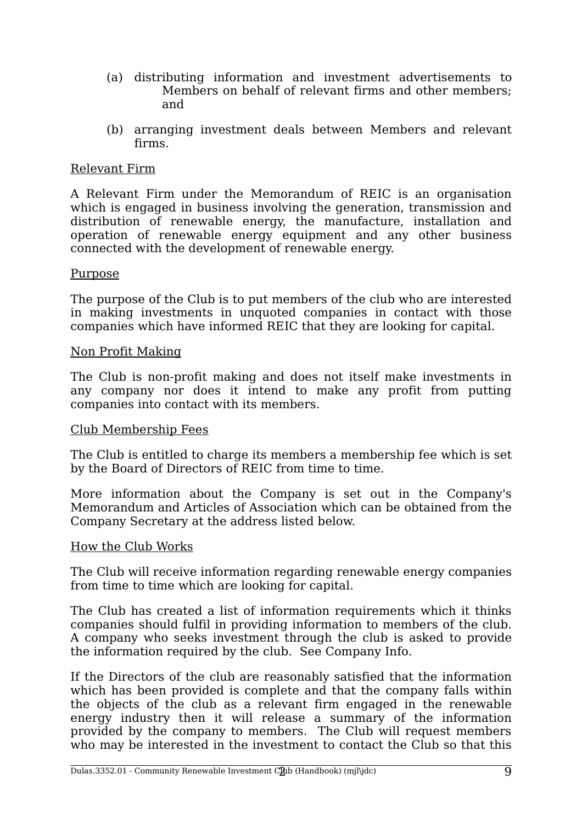- (a) distributing information and investment advertisements to Members on behalf of relevant firms and other members; and
- (b) arranging investment deals between Members and relevant firms.

## Relevant Firm

A Relevant Firm under the Memorandum of REIC is an organisation which is engaged in business involving the generation, transmission and distribution of renewable energy, the manufacture, installation and operation of renewable energy equipment and any other business connected with the development of renewable energy.

### Purpose

The purpose of the Club is to put members of the club who are interested in making investments in unquoted companies in contact with those companies which have informed REIC that they are looking for capital.

### Non Profit Making

The Club is non-profit making and does not itself make investments in any company nor does it intend to make any profit from putting companies into contact with its members.

### Club Membership Fees

The Club is entitled to charge its members a membership fee which is set by the Board of Directors of REIC from time to time.

More information about the Company is set out in the Company's Memorandum and Articles of Association which can be obtained from the Company Secretary at the address listed below.

#### How the Club Works

The Club will receive information regarding renewable energy companies from time to time which are looking for capital.

The Club has created a list of information requirements which it thinks companies should fulfil in providing information to members of the club. A company who seeks investment through the club is asked to provide the information required by the club. See Company Info.

If the Directors of the club are reasonably satisfied that the information which has been provided is complete and that the company falls within the objects of the club as a relevant firm engaged in the renewable energy industry then it will release a summary of the information provided by the company to members. The Club will request members who may be interested in the investment to contact the Club so that this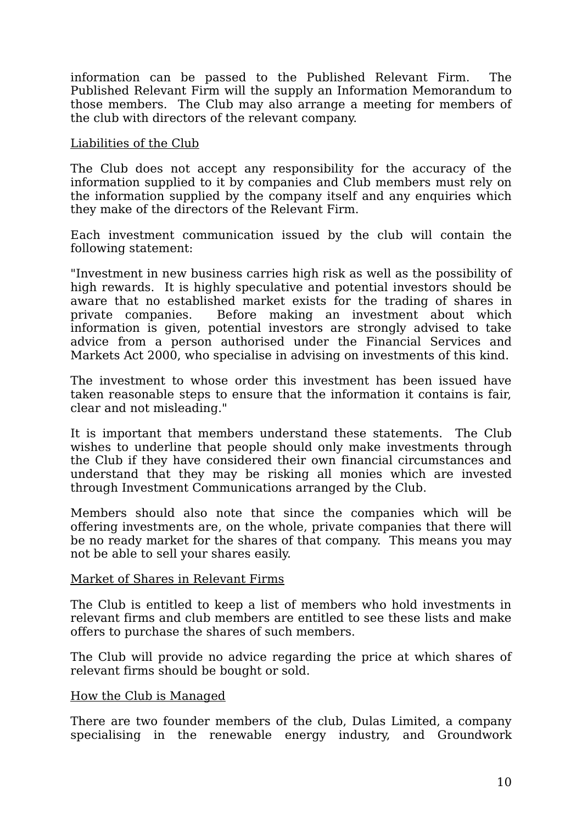information can be passed to the Published Relevant Firm. The Published Relevant Firm will the supply an Information Memorandum to those members. The Club may also arrange a meeting for members of the club with directors of the relevant company.

### Liabilities of the Club

The Club does not accept any responsibility for the accuracy of the information supplied to it by companies and Club members must rely on the information supplied by the company itself and any enquiries which they make of the directors of the Relevant Firm.

Each investment communication issued by the club will contain the following statement:

"Investment in new business carries high risk as well as the possibility of high rewards. It is highly speculative and potential investors should be aware that no established market exists for the trading of shares in private companies. Before making an investment about which information is given, potential investors are strongly advised to take advice from a person authorised under the Financial Services and Markets Act 2000, who specialise in advising on investments of this kind.

The investment to whose order this investment has been issued have taken reasonable steps to ensure that the information it contains is fair, clear and not misleading."

It is important that members understand these statements. The Club wishes to underline that people should only make investments through the Club if they have considered their own financial circumstances and understand that they may be risking all monies which are invested through Investment Communications arranged by the Club.

Members should also note that since the companies which will be offering investments are, on the whole, private companies that there will be no ready market for the shares of that company. This means you may not be able to sell your shares easily.

### Market of Shares in Relevant Firms

The Club is entitled to keep a list of members who hold investments in relevant firms and club members are entitled to see these lists and make offers to purchase the shares of such members.

The Club will provide no advice regarding the price at which shares of relevant firms should be bought or sold.

### How the Club is Managed

There are two founder members of the club, Dulas Limited, a company specialising in the renewable energy industry, and Groundwork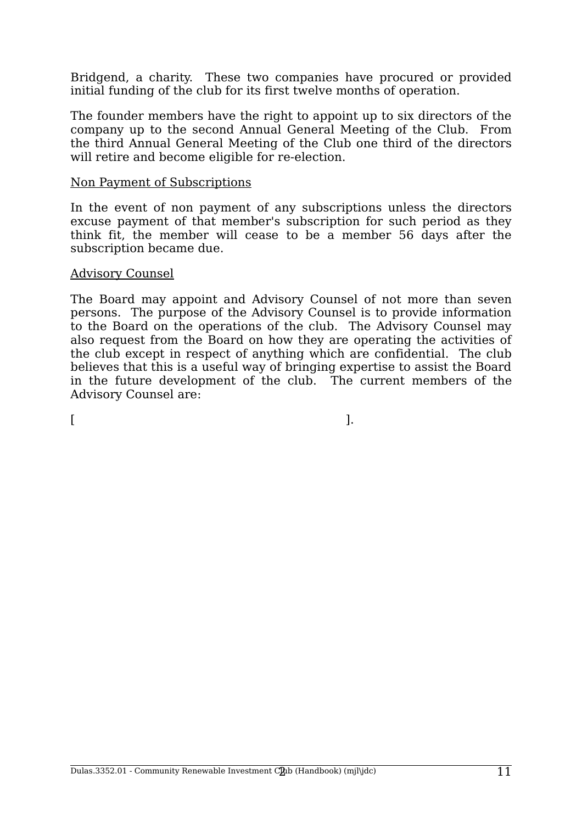Bridgend, a charity. These two companies have procured or provided initial funding of the club for its first twelve months of operation.

The founder members have the right to appoint up to six directors of the company up to the second Annual General Meeting of the Club. From the third Annual General Meeting of the Club one third of the directors will retire and become eligible for re-election.

#### Non Payment of Subscriptions

In the event of non payment of any subscriptions unless the directors excuse payment of that member's subscription for such period as they think fit, the member will cease to be a member 56 days after the subscription became due.

#### Advisory Counsel

The Board may appoint and Advisory Counsel of not more than seven persons. The purpose of the Advisory Counsel is to provide information to the Board on the operations of the club. The Advisory Counsel may also request from the Board on how they are operating the activities of the club except in respect of anything which are confidential. The club believes that this is a useful way of bringing expertise to assist the Board in the future development of the club. The current members of the Advisory Counsel are:

 $[$   $]$ .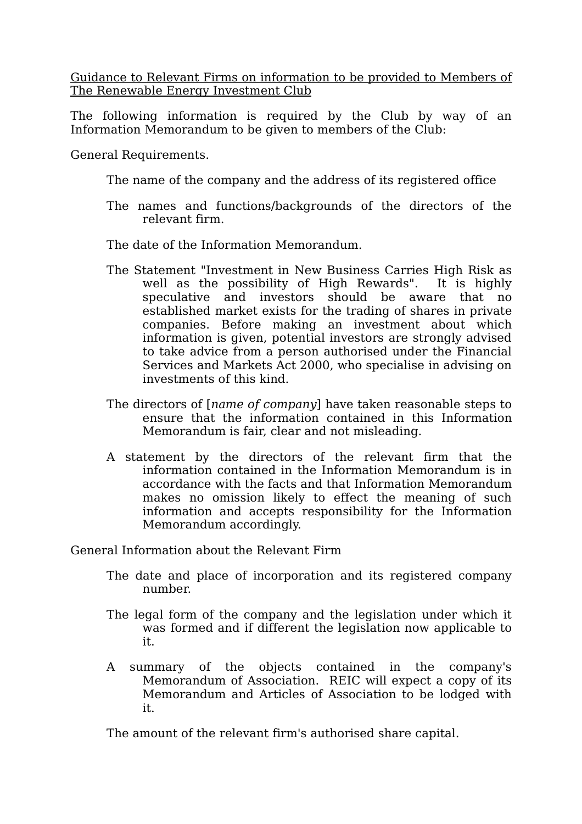Guidance to Relevant Firms on information to be provided to Members of The Renewable Energy Investment Club

The following information is required by the Club by way of an Information Memorandum to be given to members of the Club:

General Requirements.

The name of the company and the address of its registered office

The names and functions/backgrounds of the directors of the relevant firm.

The date of the Information Memorandum.

- The Statement "Investment in New Business Carries High Risk as well as the possibility of High Rewards". It is highly speculative and investors should be aware that no established market exists for the trading of shares in private companies. Before making an investment about which information is given, potential investors are strongly advised to take advice from a person authorised under the Financial Services and Markets Act 2000, who specialise in advising on investments of this kind.
- The directors of [*name of company*] have taken reasonable steps to ensure that the information contained in this Information Memorandum is fair, clear and not misleading.
- A statement by the directors of the relevant firm that the information contained in the Information Memorandum is in accordance with the facts and that Information Memorandum makes no omission likely to effect the meaning of such information and accepts responsibility for the Information Memorandum accordingly.

General Information about the Relevant Firm

- The date and place of incorporation and its registered company number.
- The legal form of the company and the legislation under which it was formed and if different the legislation now applicable to it.
- A summary of the objects contained in the company's Memorandum of Association. REIC will expect a copy of its Memorandum and Articles of Association to be lodged with it.

The amount of the relevant firm's authorised share capital.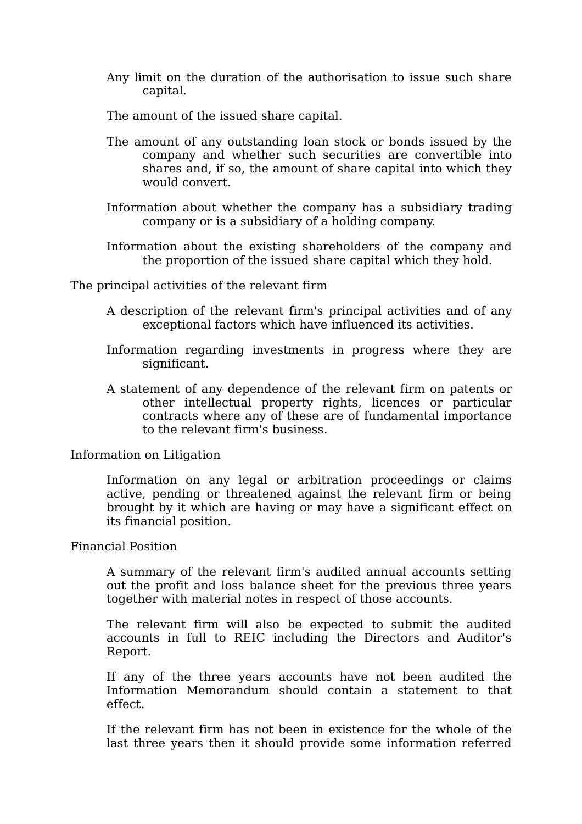Any limit on the duration of the authorisation to issue such share capital.

The amount of the issued share capital.

- The amount of any outstanding loan stock or bonds issued by the company and whether such securities are convertible into shares and, if so, the amount of share capital into which they would convert.
- Information about whether the company has a subsidiary trading company or is a subsidiary of a holding company.
- Information about the existing shareholders of the company and the proportion of the issued share capital which they hold.

The principal activities of the relevant firm

- A description of the relevant firm's principal activities and of any exceptional factors which have influenced its activities.
- Information regarding investments in progress where they are significant.
- A statement of any dependence of the relevant firm on patents or other intellectual property rights, licences or particular contracts where any of these are of fundamental importance to the relevant firm's business.

#### Information on Litigation

Information on any legal or arbitration proceedings or claims active, pending or threatened against the relevant firm or being brought by it which are having or may have a significant effect on its financial position.

#### Financial Position

A summary of the relevant firm's audited annual accounts setting out the profit and loss balance sheet for the previous three years together with material notes in respect of those accounts.

The relevant firm will also be expected to submit the audited accounts in full to REIC including the Directors and Auditor's Report.

If any of the three years accounts have not been audited the Information Memorandum should contain a statement to that effect.

If the relevant firm has not been in existence for the whole of the last three years then it should provide some information referred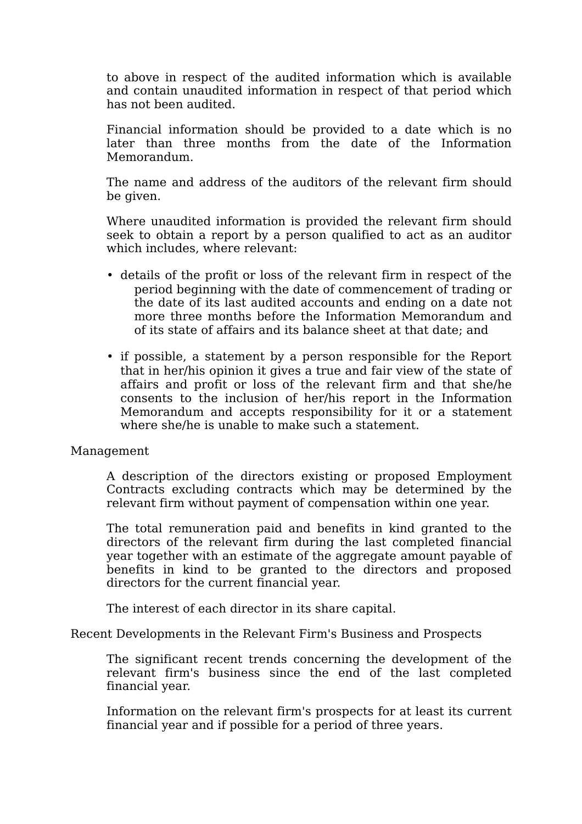to above in respect of the audited information which is available and contain unaudited information in respect of that period which has not been audited.

Financial information should be provided to a date which is no later than three months from the date of the Information Memorandum.

The name and address of the auditors of the relevant firm should be given.

Where unaudited information is provided the relevant firm should seek to obtain a report by a person qualified to act as an auditor which includes, where relevant:

- details of the profit or loss of the relevant firm in respect of the period beginning with the date of commencement of trading or the date of its last audited accounts and ending on a date not more three months before the Information Memorandum and of its state of affairs and its balance sheet at that date; and
- if possible, a statement by a person responsible for the Report that in her/his opinion it gives a true and fair view of the state of affairs and profit or loss of the relevant firm and that she/he consents to the inclusion of her/his report in the Information Memorandum and accepts responsibility for it or a statement where she/he is unable to make such a statement.

### Management

A description of the directors existing or proposed Employment Contracts excluding contracts which may be determined by the relevant firm without payment of compensation within one year.

The total remuneration paid and benefits in kind granted to the directors of the relevant firm during the last completed financial year together with an estimate of the aggregate amount payable of benefits in kind to be granted to the directors and proposed directors for the current financial year.

The interest of each director in its share capital.

Recent Developments in the Relevant Firm's Business and Prospects

The significant recent trends concerning the development of the relevant firm's business since the end of the last completed financial year.

Information on the relevant firm's prospects for at least its current financial year and if possible for a period of three years.